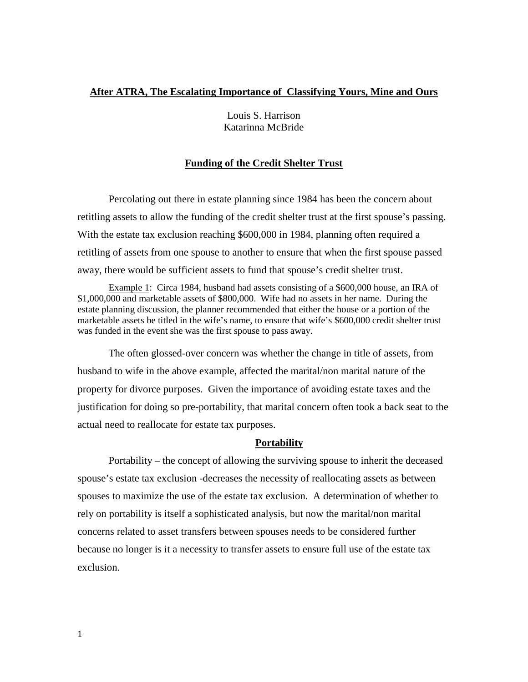### **After ATRA, The Escalating Importance of Classifying Yours, Mine and Ours**

Louis S. Harrison Katarinna McBride

#### **Funding of the Credit Shelter Trust**

Percolating out there in estate planning since 1984 has been the concern about retitling assets to allow the funding of the credit shelter trust at the first spouse's passing. With the estate tax exclusion reaching \$600,000 in 1984, planning often required a retitling of assets from one spouse to another to ensure that when the first spouse passed away, there would be sufficient assets to fund that spouse's credit shelter trust.

Example 1: Circa 1984, husband had assets consisting of a \$600,000 house, an IRA of \$1,000,000 and marketable assets of \$800,000. Wife had no assets in her name. During the estate planning discussion, the planner recommended that either the house or a portion of the marketable assets be titled in the wife's name, to ensure that wife's \$600,000 credit shelter trust was funded in the event she was the first spouse to pass away.

The often glossed-over concern was whether the change in title of assets, from husband to wife in the above example, affected the marital/non marital nature of the property for divorce purposes. Given the importance of avoiding estate taxes and the justification for doing so pre-portability, that marital concern often took a back seat to the actual need to reallocate for estate tax purposes.

#### **Portability**

Portability – the concept of allowing the surviving spouse to inherit the deceased spouse's estate tax exclusion -decreases the necessity of reallocating assets as between spouses to maximize the use of the estate tax exclusion. A determination of whether to rely on portability is itself a sophisticated analysis, but now the marital/non marital concerns related to asset transfers between spouses needs to be considered further because no longer is it a necessity to transfer assets to ensure full use of the estate tax exclusion.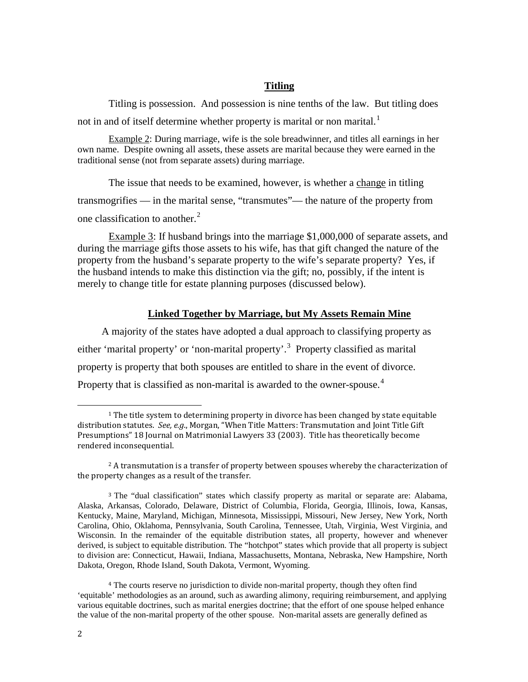#### **Titling**

Titling is possession. And possession is nine tenths of the law. But titling does not in and of itself determine whether property is marital or non marital.<sup>[1](#page-1-0)</sup>

Example 2: During marriage, wife is the sole breadwinner, and titles all earnings in her own name. Despite owning all assets, these assets are marital because they were earned in the traditional sense (not from separate assets) during marriage.

The issue that needs to be examined, however, is whether a change in titling transmogrifies — in the marital sense, "transmutes"— the nature of the property from one classification to another.<sup>[2](#page-1-1)</sup>

Example 3: If husband brings into the marriage \$1,000,000 of separate assets, and during the marriage gifts those assets to his wife, has that gift changed the nature of the property from the husband's separate property to the wife's separate property? Yes, if the husband intends to make this distinction via the gift; no, possibly, if the intent is merely to change title for estate planning purposes (discussed below).

### **Linked Together by Marriage, but My Assets Remain Mine**

A majority of the states have adopted a dual approach to classifying property as either 'marital property' or 'non-marital property'.<sup>[3](#page-1-2)</sup> Property classified as marital property is property that both spouses are entitled to share in the event of divorce. Property that is classified as non-marital is awarded to the owner-spouse.<sup>[4](#page-1-3)</sup>

<span id="page-1-0"></span> $1$  The title system to determining property in divorce has been changed by state equitable distribution statutes. *See, e.g*., Morgan, "When Title Matters: Transmutation and Joint Title Gift Presumptions" 18 Journal on Matrimonial Lawyers 33 (2003). Title has theoretically become rendered inconsequential. i<br>I

<span id="page-1-1"></span><sup>&</sup>lt;sup>2</sup> A transmutation is a transfer of property between spouses whereby the characterization of the property changes as a result of the transfer.

<span id="page-1-2"></span><sup>3</sup> The "dual classification" states which classify property as marital or separate are: Alabama, Alaska, Arkansas, Colorado, Delaware, District of Columbia, Florida, Georgia, Illinois, Iowa, Kansas, Kentucky, Maine, Maryland, Michigan, Minnesota, Mississippi, Missouri, New Jersey, New York, North Carolina, Ohio, Oklahoma, Pennsylvania, South Carolina, Tennessee, Utah, Virginia, West Virginia, and Wisconsin. In the remainder of the equitable distribution states, all property, however and whenever derived, is subject to equitable distribution. The "hotchpot" states which provide that all property is subject to division are: Connecticut, Hawaii, Indiana, Massachusetts, Montana, Nebraska, New Hampshire, North Dakota, Oregon, Rhode Island, South Dakota, Vermont, Wyoming.

<span id="page-1-3"></span><sup>4</sup> The courts reserve no jurisdiction to divide non-marital property, though they often find 'equitable' methodologies as an around, such as awarding alimony, requiring reimbursement, and applying various equitable doctrines, such as marital energies doctrine; that the effort of one spouse helped enhance the value of the non-marital property of the other spouse. Non-marital assets are generally defined as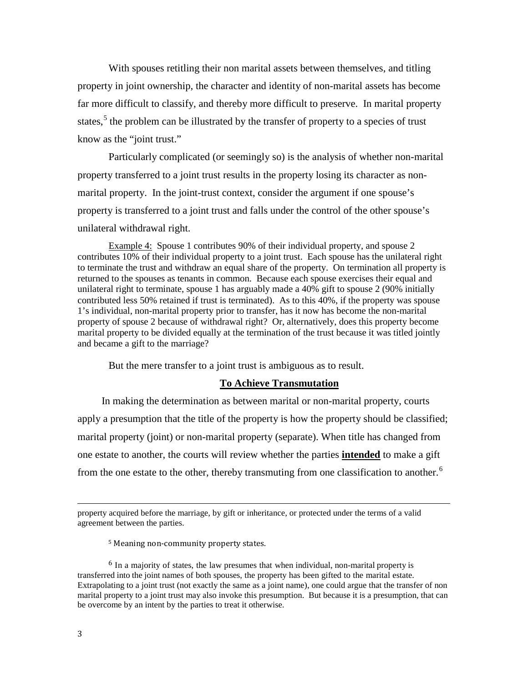With spouses retitling their non marital assets between themselves, and titling property in joint ownership, the character and identity of non-marital assets has become far more difficult to classify, and thereby more difficult to preserve. In marital property states,<sup>[5](#page-2-0)</sup> the problem can be illustrated by the transfer of property to a species of trust know as the "joint trust."

Particularly complicated (or seemingly so) is the analysis of whether non-marital property transferred to a joint trust results in the property losing its character as nonmarital property. In the joint-trust context, consider the argument if one spouse's property is transferred to a joint trust and falls under the control of the other spouse's unilateral withdrawal right.

Example 4: Spouse 1 contributes 90% of their individual property, and spouse 2 contributes 10% of their individual property to a joint trust. Each spouse has the unilateral right to terminate the trust and withdraw an equal share of the property. On termination all property is returned to the spouses as tenants in common. Because each spouse exercises their equal and unilateral right to terminate, spouse 1 has arguably made a 40% gift to spouse 2 (90% initially contributed less 50% retained if trust is terminated). As to this 40%, if the property was spouse 1's individual, non-marital property prior to transfer, has it now has become the non-marital property of spouse 2 because of withdrawal right? Or, alternatively, does this property become marital property to be divided equally at the termination of the trust because it was titled jointly and became a gift to the marriage?

But the mere transfer to a joint trust is ambiguous as to result.

### **To Achieve Transmutation**

In making the determination as between marital or non-marital property, courts apply a presumption that the title of the property is how the property should be classified; marital property (joint) or non-marital property (separate). When title has changed from one estate to another, the courts will review whether the parties **intended** to make a gift from the one estate to the other, thereby transmuting from one classification to another.<sup>[6](#page-2-1)</sup>

<sup>5</sup> Meaning non-community property states.

property acquired before the marriage, by gift or inheritance, or protected under the terms of a valid agreement between the parties. i<br>I

<span id="page-2-1"></span><span id="page-2-0"></span><sup>&</sup>lt;sup>6</sup> In a majority of states, the law presumes that when individual, non-marital property is transferred into the joint names of both spouses, the property has been gifted to the marital estate. Extrapolating to a joint trust (not exactly the same as a joint name), one could argue that the transfer of non marital property to a joint trust may also invoke this presumption. But because it is a presumption, that can be overcome by an intent by the parties to treat it otherwise.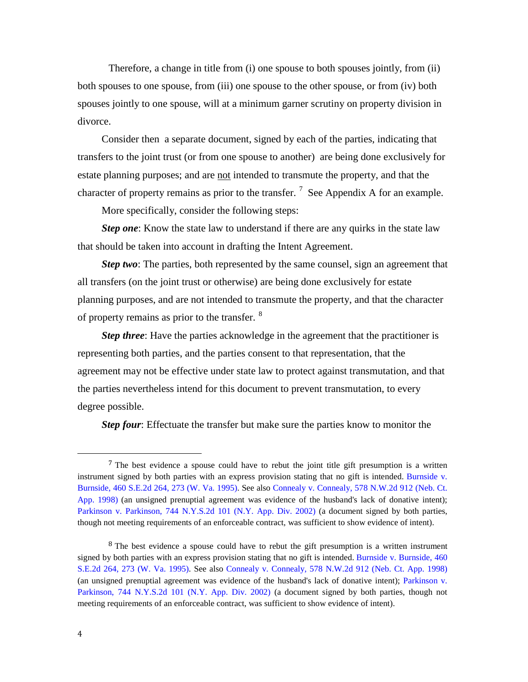Therefore, a change in title from (i) one spouse to both spouses jointly, from (ii) both spouses to one spouse, from (iii) one spouse to the other spouse, or from (iv) both spouses jointly to one spouse, will at a minimum garner scrutiny on property division in divorce.

Consider then a separate document, signed by each of the parties, indicating that transfers to the joint trust (or from one spouse to another) are being done exclusively for estate planning purposes; and are not intended to transmute the property, and that the character of property remains as prior to the transfer.  $\frac{7}{1}$  $\frac{7}{1}$  $\frac{7}{1}$  See Appendix A for an example.

More specifically, consider the following steps:

*Step one*: Know the state law to understand if there are any quirks in the state law that should be taken into account in drafting the Intent Agreement.

*Step two*: The parties, both represented by the same counsel, sign an agreement that all transfers (on the joint trust or otherwise) are being done exclusively for estate planning purposes, and are not intended to transmute the property, and that the character of property remains as prior to the transfer. <sup>[8](#page-3-1)</sup>

*Step three*: Have the parties acknowledge in the agreement that the practitioner is representing both parties, and the parties consent to that representation, that the agreement may not be effective under state law to protect against transmutation, and that the parties nevertheless intend for this document to prevent transmutation, to every degree possible.

*Step four*: Effectuate the transfer but make sure the parties know to monitor the

I

<span id="page-3-0"></span><sup>7</sup> The best evidence a spouse could have to rebut the joint title gift presumption is a written instrument signed by both parties with an express provision stating that no gift is intended. [Burnside](http://www.westlaw.com/Link/Document/FullText?findType=Y&serNum=1995072946&pubNum=711&originationContext=document&vr=3.0&rs=cblt1.0&transitionType=DocumentItem&contextData=(sc.Search)&co_pp_sp_711_273) v. [Burnside,](http://www.westlaw.com/Link/Document/FullText?findType=Y&serNum=1995072946&pubNum=711&originationContext=document&vr=3.0&rs=cblt1.0&transitionType=DocumentItem&contextData=(sc.Search)&co_pp_sp_711_273) 460 S.E.2d 264, 273 (W. Va. 1995). See also Connealy v. [Connealy,](http://www.westlaw.com/Link/Document/FullText?findType=Y&serNum=1998115688&pubNum=595&originationContext=document&vr=3.0&rs=cblt1.0&transitionType=DocumentItem&contextData=(sc.Search)) 578 N.W.2d 912 (Neb. Ct. App. [1998\) \(](http://www.westlaw.com/Link/Document/FullText?findType=Y&serNum=1998115688&pubNum=595&originationContext=document&vr=3.0&rs=cblt1.0&transitionType=DocumentItem&contextData=(sc.Search))an unsigned prenuptial agreement was evidence of the husband's lack of donative intent); Parkinson v. [Parkinson,](http://www.westlaw.com/Link/Document/FullText?findType=Y&serNum=2002371872&pubNum=602&originationContext=document&vr=3.0&rs=cblt1.0&transitionType=DocumentItem&contextData=(sc.Search)) 744 N.Y.S.2d [101 \(N.Y. App. Div. 2002\) \(](http://www.westlaw.com/Link/Document/FullText?findType=Y&serNum=2002371872&pubNum=602&originationContext=document&vr=3.0&rs=cblt1.0&transitionType=DocumentItem&contextData=(sc.Search))a document signed by both parties, though not meeting requirements of an enforceable contract, was sufficient to show evidence of intent).

<span id="page-3-1"></span><sup>&</sup>lt;sup>8</sup> The best evidence a spouse could have to rebut the gift presumption is a written instrument signed by both parties with an express provision stating that no gift is intended. Burnside v. [Burnside,](http://www.westlaw.com/Link/Document/FullText?findType=Y&serNum=1995072946&pubNum=711&originationContext=document&vr=3.0&rs=cblt1.0&transitionType=DocumentItem&contextData=(sc.Search)&co_pp_sp_711_273) 460 [S.E.2d](http://www.westlaw.com/Link/Document/FullText?findType=Y&serNum=1995072946&pubNum=711&originationContext=document&vr=3.0&rs=cblt1.0&transitionType=DocumentItem&contextData=(sc.Search)&co_pp_sp_711_273) 264, 273 (W. Va. 1995). See also Connealy v. [Connealy,](http://www.westlaw.com/Link/Document/FullText?findType=Y&serNum=1998115688&pubNum=595&originationContext=document&vr=3.0&rs=cblt1.0&transitionType=DocumentItem&contextData=(sc.Search)) 578 N.W.2d 912 (Neb. Ct. App. 1998) (an unsigned prenuptial agreement was evidence of the husband's lack of donative intent); [Parkinson](http://www.westlaw.com/Link/Document/FullText?findType=Y&serNum=2002371872&pubNum=602&originationContext=document&vr=3.0&rs=cblt1.0&transitionType=DocumentItem&contextData=(sc.Search)) v. [Parkinson,](http://www.westlaw.com/Link/Document/FullText?findType=Y&serNum=2002371872&pubNum=602&originationContext=document&vr=3.0&rs=cblt1.0&transitionType=DocumentItem&contextData=(sc.Search)) 744 N.Y.S.2d [101 \(N.Y. App. Div. 2002\) \(](http://www.westlaw.com/Link/Document/FullText?findType=Y&serNum=2002371872&pubNum=602&originationContext=document&vr=3.0&rs=cblt1.0&transitionType=DocumentItem&contextData=(sc.Search))a document signed by both parties, though not meeting requirements of an enforceable contract, was sufficient to show evidence of intent).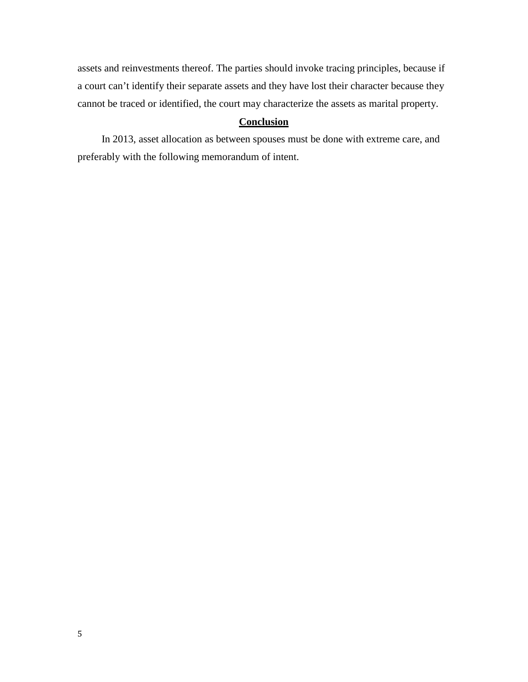assets and reinvestments thereof. The parties should invoke tracing principles, because if a court can't identify their separate assets and they have lost their character because they cannot be traced or identified, the court may characterize the assets as marital property.

## **Conclusion**

In 2013, asset allocation as between spouses must be done with extreme care, and preferably with the following memorandum of intent.